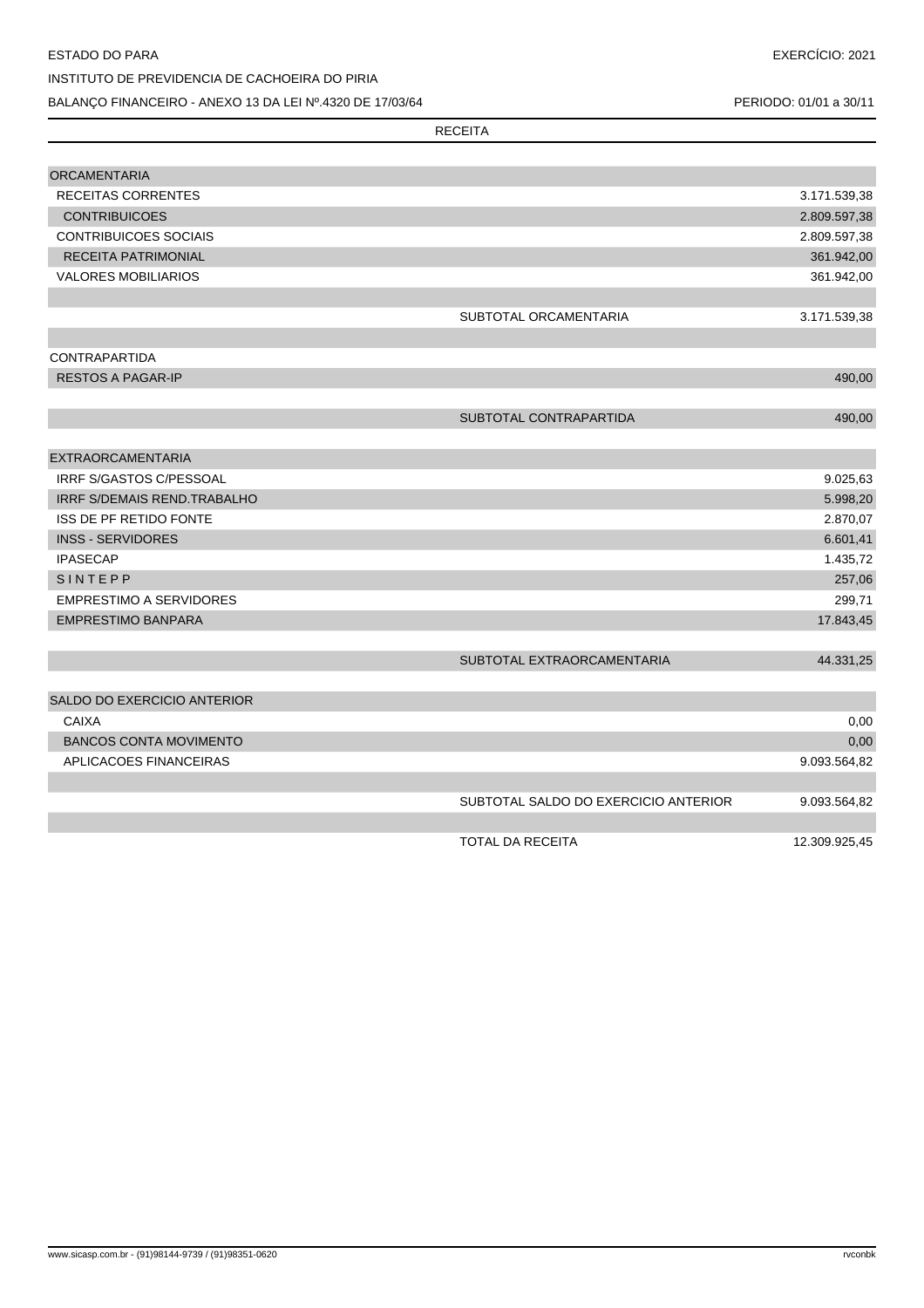## ESTADO DO PARA

## INSTITUTO DE PREVIDENCIA DE CACHOEIRA DO PIRIA BALANÇO FINANCEIRO - ANEXO 13 DA LEI Nº.4320 DE 17/03/64

PERIODO: 01/01 a 30/11

|                                                      | <b>RECEITA</b>                       |                     |
|------------------------------------------------------|--------------------------------------|---------------------|
|                                                      |                                      |                     |
| <b>ORCAMENTARIA</b>                                  |                                      |                     |
| <b>RECEITAS CORRENTES</b>                            |                                      | 3.171.539,38        |
| <b>CONTRIBUICOES</b>                                 |                                      | 2.809.597,38        |
| <b>CONTRIBUICOES SOCIAIS</b>                         |                                      | 2.809.597,38        |
| RECEITA PATRIMONIAL                                  |                                      | 361.942,00          |
| <b>VALORES MOBILIARIOS</b>                           |                                      | 361.942,00          |
|                                                      | SUBTOTAL ORCAMENTARIA                | 3.171.539,38        |
| <b>CONTRAPARTIDA</b>                                 |                                      |                     |
| <b>RESTOS A PAGAR-IP</b>                             |                                      | 490,00              |
|                                                      | SUBTOTAL CONTRAPARTIDA               | 490,00              |
|                                                      |                                      |                     |
| <b>EXTRAORCAMENTARIA</b>                             |                                      |                     |
| IRRF S/GASTOS C/PESSOAL                              |                                      | 9.025,63            |
| <b>IRRF S/DEMAIS REND.TRABALHO</b>                   |                                      | 5.998,20            |
| <b>ISS DE PF RETIDO FONTE</b>                        |                                      | 2.870,07            |
| <b>INSS - SERVIDORES</b>                             |                                      | 6.601,41            |
| <b>IPASECAP</b>                                      |                                      | 1.435,72            |
| SINTEPP                                              |                                      | 257,06              |
| <b>EMPRESTIMO A SERVIDORES</b><br>EMPRESTIMO BANPARA |                                      | 299,71<br>17.843,45 |
|                                                      |                                      |                     |
|                                                      | SUBTOTAL EXTRAORCAMENTARIA           | 44.331,25           |
| SALDO DO EXERCICIO ANTERIOR                          |                                      |                     |
| <b>CAIXA</b>                                         |                                      | 0,00                |
| <b>BANCOS CONTA MOVIMENTO</b>                        |                                      | 0,00                |
| APLICACOES FINANCEIRAS                               |                                      | 9.093.564,82        |
|                                                      | SUBTOTAL SALDO DO EXERCICIO ANTERIOR | 9.093.564,82        |
|                                                      | <b>TOTAL DA RECEITA</b>              | 12.309.925.45       |